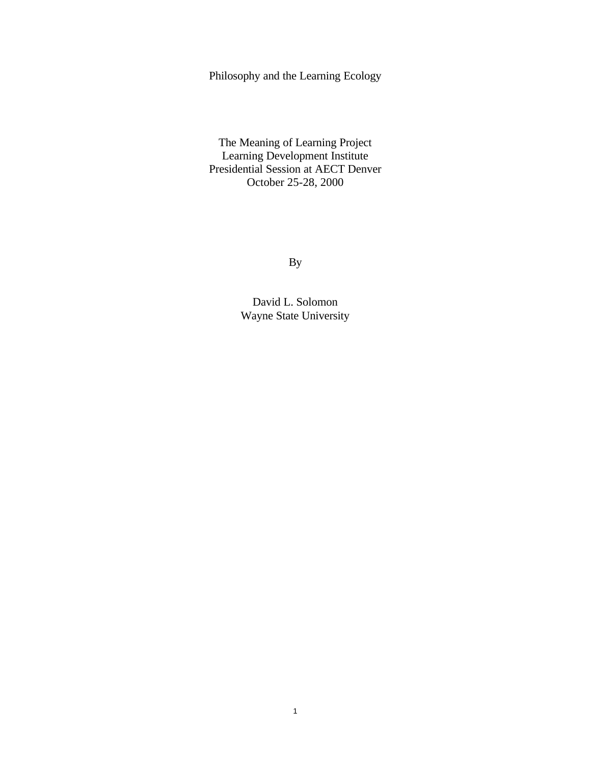Philosophy and the Learning Ecology

The Meaning of Learning Project Learning Development Institute Presidential Session at AECT Denver October 25-28, 2000

By

David L. Solomon Wayne State University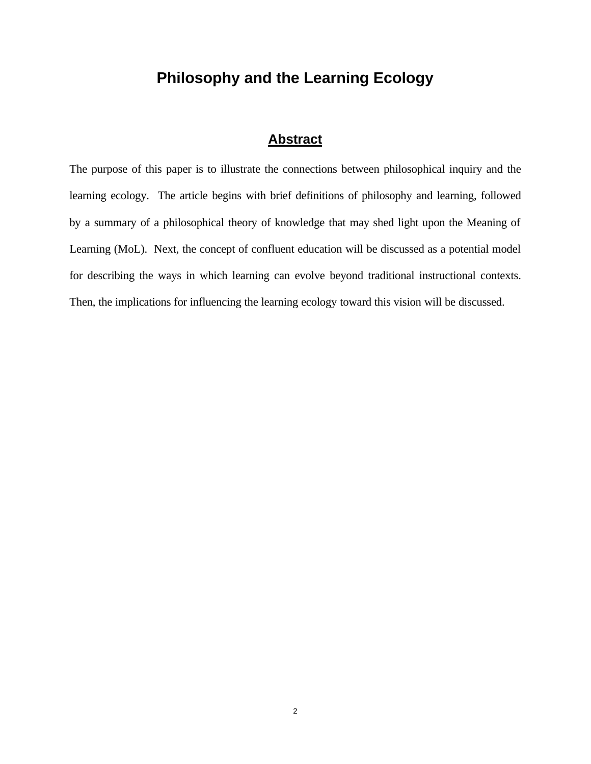# **Philosophy and the Learning Ecology**

# **Abstract**

The purpose of this paper is to illustrate the connections between philosophical inquiry and the learning ecology. The article begins with brief definitions of philosophy and learning, followed by a summary of a philosophical theory of knowledge that may shed light upon the Meaning of Learning (MoL). Next, the concept of confluent education will be discussed as a potential model for describing the ways in which learning can evolve beyond traditional instructional contexts. Then, the implications for influencing the learning ecology toward this vision will be discussed.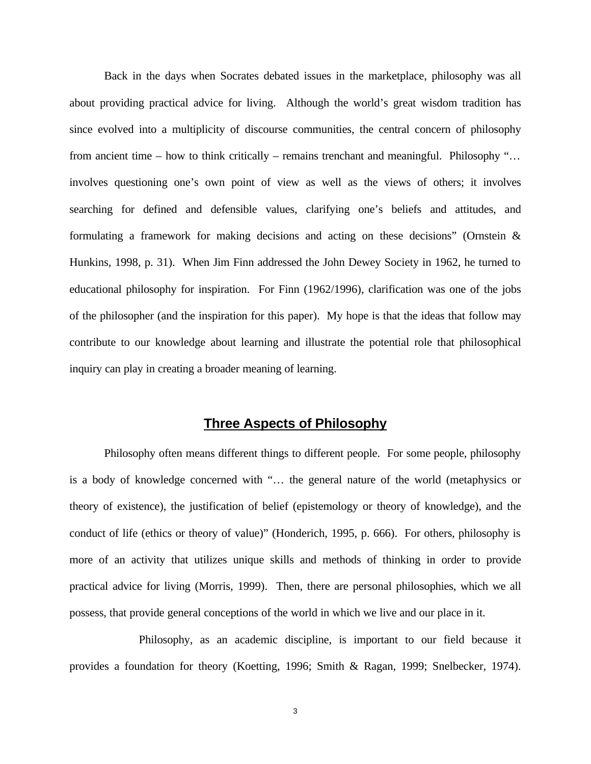Back in the days when Socrates debated issues in the marketplace, philosophy was all about providing practical advice for living. Although the world's great wisdom tradition has since evolved into a multiplicity of discourse communities, the central concern of philosophy from ancient time – how to think critically – remains trenchant and meaningful. Philosophy "... involves questioning one's own point of view as well as the views of others; it involves searching for defined and defensible values, clarifying one's beliefs and attitudes, and formulating a framework for making decisions and acting on these decisions" (Ornstein & Hunkins, 1998, p. 31). When Jim Finn addressed the John Dewey Society in 1962, he turned to educational philosophy for inspiration. For Finn (1962/1996), clarification was one of the jobs of the philosopher (and the inspiration for this paper). My hope is that the ideas that follow may contribute to our knowledge about learning and illustrate the potential role that philosophical inquiry can play in creating a broader meaning of learning.

## **Three Aspects of Philosophy**

Philosophy often means different things to different people. For some people, philosophy is a body of knowledge concerned with "… the general nature of the world (metaphysics or theory of existence), the justification of belief (epistemology or theory of knowledge), and the conduct of life (ethics or theory of value)" (Honderich, 1995, p. 666). For others, philosophy is more of an activity that utilizes unique skills and methods of thinking in order to provide practical advice for living (Morris, 1999). Then, there are personal philosophies, which we all possess, that provide general conceptions of the world in which we live and our place in it.

Philosophy, as an academic discipline, is important to our field because it provides a foundation for theory (Koetting, 1996; Smith & Ragan, 1999; Snelbecker, 1974).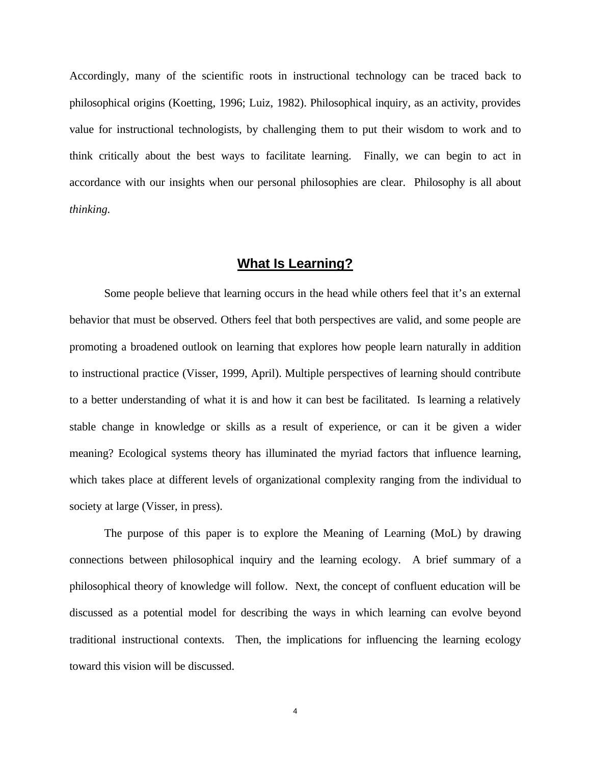Accordingly, many of the scientific roots in instructional technology can be traced back to philosophical origins (Koetting, 1996; Luiz, 1982). Philosophical inquiry, as an activity, provides value for instructional technologists, by challenging them to put their wisdom to work and to think critically about the best ways to facilitate learning. Finally, we can begin to act in accordance with our insights when our personal philosophies are clear. Philosophy is all about *thinking.*

## **What Is Learning?**

Some people believe that learning occurs in the head while others feel that it's an external behavior that must be observed. Others feel that both perspectives are valid, and some people are promoting a broadened outlook on learning that explores how people learn naturally in addition to instructional practice (Visser, 1999, April). Multiple perspectives of learning should contribute to a better understanding of what it is and how it can best be facilitated. Is learning a relatively stable change in knowledge or skills as a result of experience, or can it be given a wider meaning? Ecological systems theory has illuminated the myriad factors that influence learning, which takes place at different levels of organizational complexity ranging from the individual to society at large (Visser, in press).

The purpose of this paper is to explore the Meaning of Learning (MoL) by drawing connections between philosophical inquiry and the learning ecology. A brief summary of a philosophical theory of knowledge will follow. Next, the concept of confluent education will be discussed as a potential model for describing the ways in which learning can evolve beyond traditional instructional contexts. Then, the implications for influencing the learning ecology toward this vision will be discussed.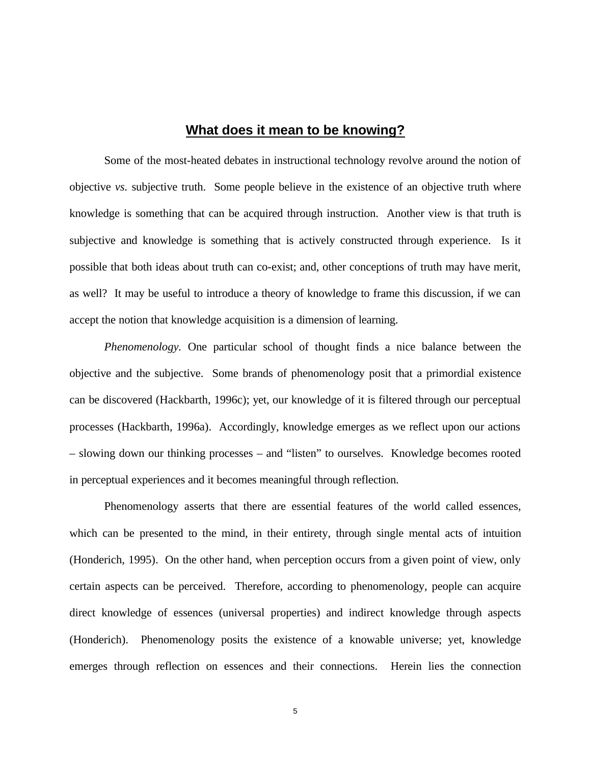### **What does it mean to be knowing?**

Some of the most-heated debates in instructional technology revolve around the notion of objective *vs.* subjective truth. Some people believe in the existence of an objective truth where knowledge is something that can be acquired through instruction. Another view is that truth is subjective and knowledge is something that is actively constructed through experience. Is it possible that both ideas about truth can co-exist; and, other conceptions of truth may have merit, as well? It may be useful to introduce a theory of knowledge to frame this discussion, if we can accept the notion that knowledge acquisition is a dimension of learning.

*Phenomenology.* One particular school of thought finds a nice balance between the objective and the subjective. Some brands of phenomenology posit that a primordial existence can be discovered (Hackbarth, 1996c); yet, our knowledge of it is filtered through our perceptual processes (Hackbarth, 1996a). Accordingly, knowledge emerges as we reflect upon our actions – slowing down our thinking processes – and "listen" to ourselves. Knowledge becomes rooted in perceptual experiences and it becomes meaningful through reflection.

Phenomenology asserts that there are essential features of the world called essences, which can be presented to the mind, in their entirety, through single mental acts of intuition (Honderich, 1995). On the other hand, when perception occurs from a given point of view, only certain aspects can be perceived. Therefore, according to phenomenology, people can acquire direct knowledge of essences (universal properties) and indirect knowledge through aspects (Honderich). Phenomenology posits the existence of a knowable universe; yet, knowledge emerges through reflection on essences and their connections. Herein lies the connection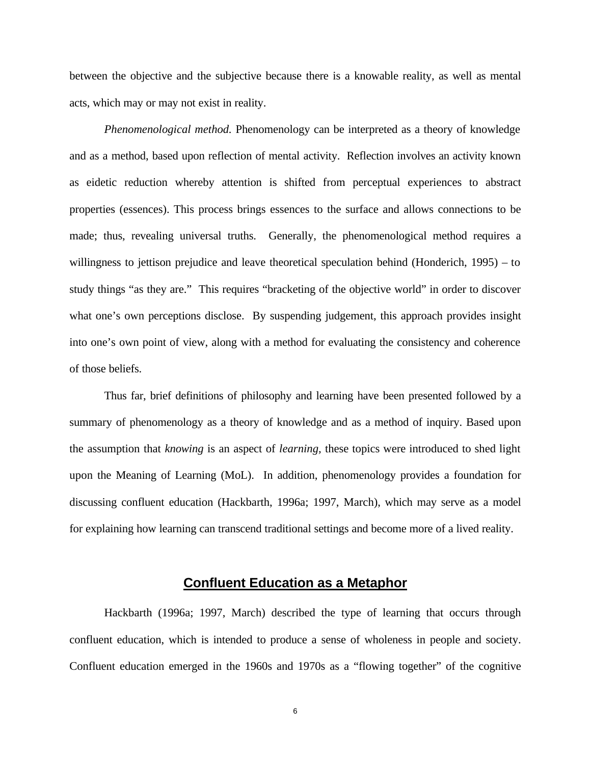between the objective and the subjective because there is a knowable reality, as well as mental acts, which may or may not exist in reality.

*Phenomenological method.* Phenomenology can be interpreted as a theory of knowledge and as a method, based upon reflection of mental activity. Reflection involves an activity known as eidetic reduction whereby attention is shifted from perceptual experiences to abstract properties (essences). This process brings essences to the surface and allows connections to be made; thus, revealing universal truths. Generally, the phenomenological method requires a willingness to jettison prejudice and leave theoretical speculation behind (Honderich, 1995) – to study things "as they are." This requires "bracketing of the objective world" in order to discover what one's own perceptions disclose. By suspending judgement, this approach provides insight into one's own point of view, along with a method for evaluating the consistency and coherence of those beliefs.

Thus far, brief definitions of philosophy and learning have been presented followed by a summary of phenomenology as a theory of knowledge and as a method of inquiry. Based upon the assumption that *knowing* is an aspect of *learning,* these topics were introduced to shed light upon the Meaning of Learning (MoL). In addition, phenomenology provides a foundation for discussing confluent education (Hackbarth, 1996a; 1997, March), which may serve as a model for explaining how learning can transcend traditional settings and become more of a lived reality.

#### **Confluent Education as a Metaphor**

Hackbarth (1996a; 1997, March) described the type of learning that occurs through confluent education, which is intended to produce a sense of wholeness in people and society. Confluent education emerged in the 1960s and 1970s as a "flowing together" of the cognitive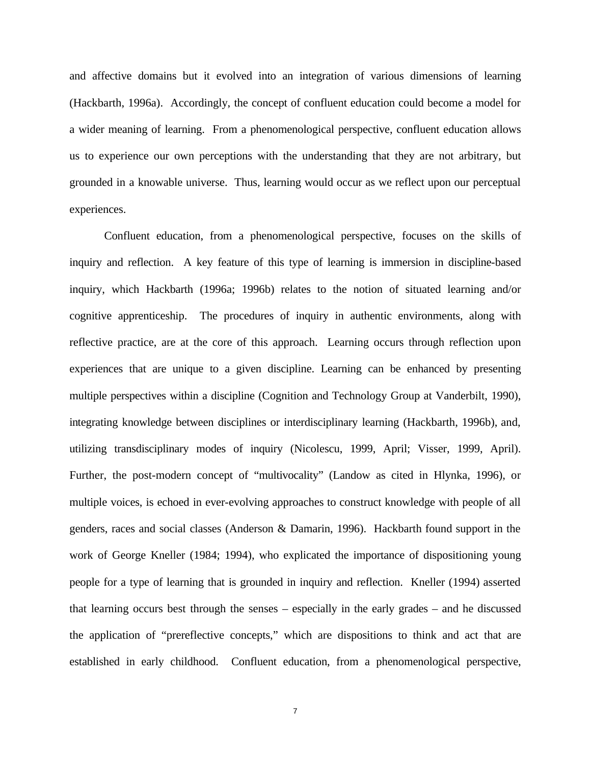and affective domains but it evolved into an integration of various dimensions of learning (Hackbarth, 1996a). Accordingly, the concept of confluent education could become a model for a wider meaning of learning. From a phenomenological perspective, confluent education allows us to experience our own perceptions with the understanding that they are not arbitrary, but grounded in a knowable universe. Thus, learning would occur as we reflect upon our perceptual experiences.

Confluent education, from a phenomenological perspective, focuses on the skills of inquiry and reflection. A key feature of this type of learning is immersion in discipline-based inquiry, which Hackbarth (1996a; 1996b) relates to the notion of situated learning and/or cognitive apprenticeship. The procedures of inquiry in authentic environments, along with reflective practice, are at the core of this approach. Learning occurs through reflection upon experiences that are unique to a given discipline. Learning can be enhanced by presenting multiple perspectives within a discipline (Cognition and Technology Group at Vanderbilt, 1990), integrating knowledge between disciplines or interdisciplinary learning (Hackbarth, 1996b), and, utilizing transdisciplinary modes of inquiry (Nicolescu, 1999, April; Visser, 1999, April). Further, the post-modern concept of "multivocality" (Landow as cited in Hlynka, 1996), or multiple voices, is echoed in ever-evolving approaches to construct knowledge with people of all genders, races and social classes (Anderson & Damarin, 1996). Hackbarth found support in the work of George Kneller (1984; 1994), who explicated the importance of dispositioning young people for a type of learning that is grounded in inquiry and reflection. Kneller (1994) asserted that learning occurs best through the senses – especially in the early grades – and he discussed the application of "prereflective concepts," which are dispositions to think and act that are established in early childhood. Confluent education, from a phenomenological perspective,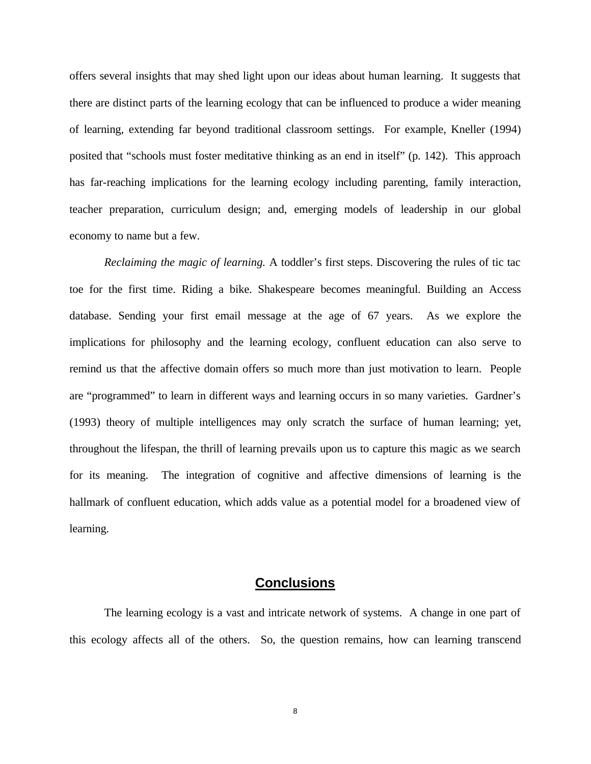offers several insights that may shed light upon our ideas about human learning. It suggests that there are distinct parts of the learning ecology that can be influenced to produce a wider meaning of learning, extending far beyond traditional classroom settings. For example, Kneller (1994) posited that "schools must foster meditative thinking as an end in itself" (p. 142). This approach has far-reaching implications for the learning ecology including parenting, family interaction, teacher preparation, curriculum design; and, emerging models of leadership in our global economy to name but a few.

*Reclaiming the magic of learning.* A toddler's first steps. Discovering the rules of tic tac toe for the first time. Riding a bike. Shakespeare becomes meaningful. Building an Access database. Sending your first email message at the age of 67 years. As we explore the implications for philosophy and the learning ecology, confluent education can also serve to remind us that the affective domain offers so much more than just motivation to learn. People are "programmed" to learn in different ways and learning occurs in so many varieties. Gardner's (1993) theory of multiple intelligences may only scratch the surface of human learning; yet, throughout the lifespan, the thrill of learning prevails upon us to capture this magic as we search for its meaning. The integration of cognitive and affective dimensions of learning is the hallmark of confluent education, which adds value as a potential model for a broadened view of learning.

## **Conclusions**

The learning ecology is a vast and intricate network of systems. A change in one part of this ecology affects all of the others. So, the question remains, how can learning transcend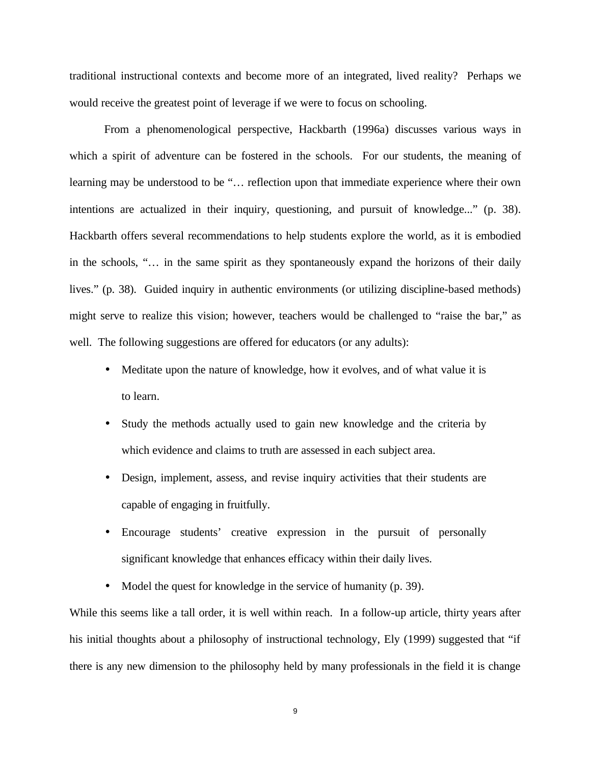traditional instructional contexts and become more of an integrated, lived reality? Perhaps we would receive the greatest point of leverage if we were to focus on schooling.

From a phenomenological perspective, Hackbarth (1996a) discusses various ways in which a spirit of adventure can be fostered in the schools. For our students, the meaning of learning may be understood to be "… reflection upon that immediate experience where their own intentions are actualized in their inquiry, questioning, and pursuit of knowledge..." (p. 38). Hackbarth offers several recommendations to help students explore the world, as it is embodied in the schools, "… in the same spirit as they spontaneously expand the horizons of their daily lives." (p. 38). Guided inquiry in authentic environments (or utilizing discipline-based methods) might serve to realize this vision; however, teachers would be challenged to "raise the bar," as well. The following suggestions are offered for educators (or any adults):

- Meditate upon the nature of knowledge, how it evolves, and of what value it is to learn.
- Study the methods actually used to gain new knowledge and the criteria by which evidence and claims to truth are assessed in each subject area.
- Design, implement, assess, and revise inquiry activities that their students are capable of engaging in fruitfully.
- Encourage students' creative expression in the pursuit of personally significant knowledge that enhances efficacy within their daily lives.
- Model the quest for knowledge in the service of humanity (p. 39).

While this seems like a tall order, it is well within reach. In a follow-up article, thirty years after his initial thoughts about a philosophy of instructional technology, Ely (1999) suggested that "if there is any new dimension to the philosophy held by many professionals in the field it is change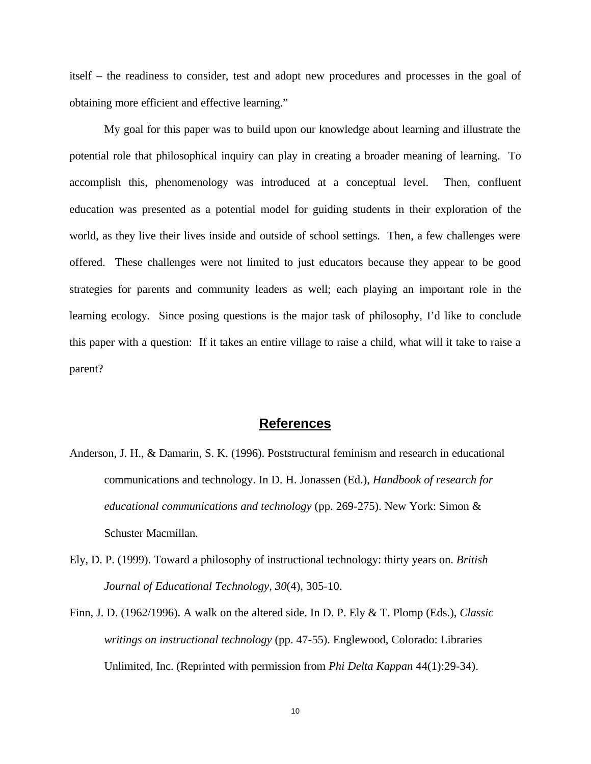itself – the readiness to consider, test and adopt new procedures and processes in the goal of obtaining more efficient and effective learning."

My goal for this paper was to build upon our knowledge about learning and illustrate the potential role that philosophical inquiry can play in creating a broader meaning of learning. To accomplish this, phenomenology was introduced at a conceptual level. Then, confluent education was presented as a potential model for guiding students in their exploration of the world, as they live their lives inside and outside of school settings. Then, a few challenges were offered. These challenges were not limited to just educators because they appear to be good strategies for parents and community leaders as well; each playing an important role in the learning ecology. Since posing questions is the major task of philosophy, I'd like to conclude this paper with a question: If it takes an entire village to raise a child, what will it take to raise a parent?

#### **References**

- Anderson, J. H., & Damarin, S. K. (1996). Poststructural feminism and research in educational communications and technology. In D. H. Jonassen (Ed.), *Handbook of research for educational communications and technology* (pp. 269-275). New York: Simon & Schuster Macmillan.
- Ely, D. P. (1999). Toward a philosophy of instructional technology: thirty years on. *British Journal of Educational Technology, 30*(4), 305-10.
- Finn, J. D. (1962/1996). A walk on the altered side. In D. P. Ely & T. Plomp (Eds.), *Classic writings on instructional technology* (pp. 47-55). Englewood, Colorado: Libraries Unlimited, Inc. (Reprinted with permission from *Phi Delta Kappan* 44(1):29-34).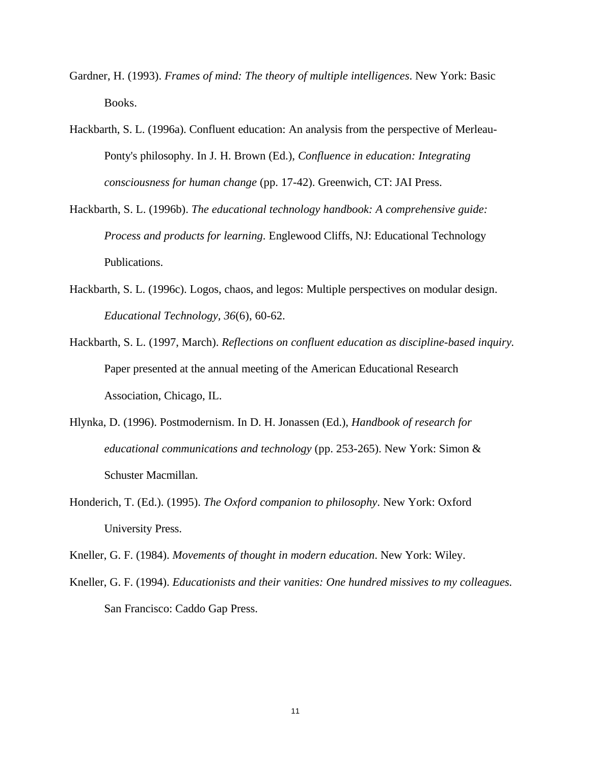- Gardner, H. (1993). *Frames of mind: The theory of multiple intelligences*. New York: Basic Books.
- Hackbarth, S. L. (1996a). Confluent education: An analysis from the perspective of Merleau-Ponty's philosophy. In J. H. Brown (Ed.), *Confluence in education: Integrating consciousness for human change* (pp. 17-42). Greenwich, CT: JAI Press.
- Hackbarth, S. L. (1996b). *The educational technology handbook: A comprehensive guide: Process and products for learning*. Englewood Cliffs, NJ: Educational Technology Publications.
- Hackbarth, S. L. (1996c). Logos, chaos, and legos: Multiple perspectives on modular design. *Educational Technology, 36*(6), 60-62.
- Hackbarth, S. L. (1997, March). *Reflections on confluent education as discipline-based inquiry.* Paper presented at the annual meeting of the American Educational Research Association, Chicago, IL.
- Hlynka, D. (1996). Postmodernism. In D. H. Jonassen (Ed.), *Handbook of research for educational communications and technology* (pp. 253-265). New York: Simon & Schuster Macmillan.
- Honderich, T. (Ed.). (1995). *The Oxford companion to philosophy*. New York: Oxford University Press.

Kneller, G. F. (1984). *Movements of thought in modern education*. New York: Wiley.

Kneller, G. F. (1994). *Educationists and their vanities: One hundred missives to my colleagues.* San Francisco: Caddo Gap Press.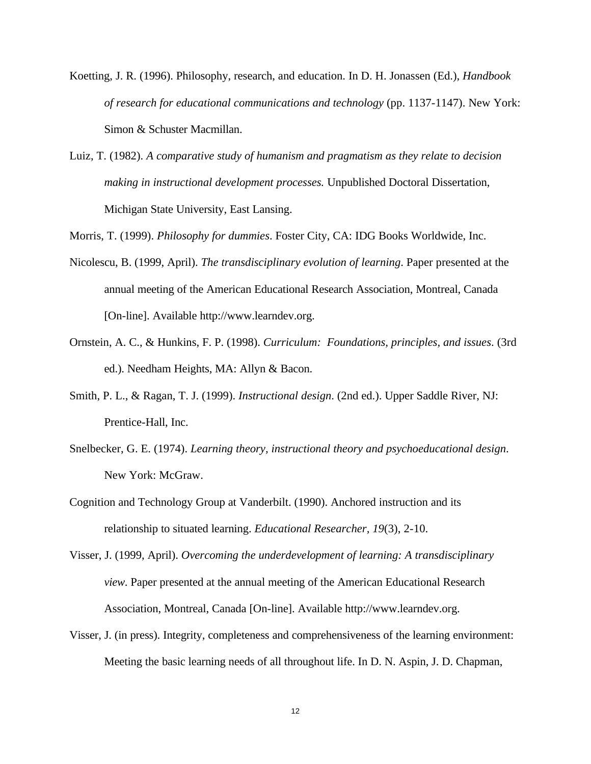- Koetting, J. R. (1996). Philosophy, research, and education. In D. H. Jonassen (Ed.), *Handbook of research for educational communications and technology* (pp. 1137-1147). New York: Simon & Schuster Macmillan.
- Luiz, T. (1982). *A comparative study of humanism and pragmatism as they relate to decision making in instructional development processes.* Unpublished Doctoral Dissertation, Michigan State University, East Lansing.

Morris, T. (1999). *Philosophy for dummies*. Foster City, CA: IDG Books Worldwide, Inc.

- Nicolescu, B. (1999, April). *The transdisciplinary evolution of learning*. Paper presented at the annual meeting of the American Educational Research Association, Montreal, Canada [On-line]. Available http://www.learndev.org.
- Ornstein, A. C., & Hunkins, F. P. (1998). *Curriculum: Foundations, principles, and issues*. (3rd ed.). Needham Heights, MA: Allyn & Bacon.
- Smith, P. L., & Ragan, T. J. (1999). *Instructional design*. (2nd ed.). Upper Saddle River, NJ: Prentice-Hall, Inc.
- Snelbecker, G. E. (1974). *Learning theory, instructional theory and psychoeducational design*. New York: McGraw.
- Cognition and Technology Group at Vanderbilt. (1990). Anchored instruction and its relationship to situated learning. *Educational Researcher, 19*(3), 2-10.
- Visser, J. (1999, April). *Overcoming the underdevelopment of learning: A transdisciplinary view*. Paper presented at the annual meeting of the American Educational Research Association, Montreal, Canada [On-line]. Available http://www.learndev.org.
- Visser, J. (in press). Integrity, completeness and comprehensiveness of the learning environment: Meeting the basic learning needs of all throughout life. In D. N. Aspin, J. D. Chapman,